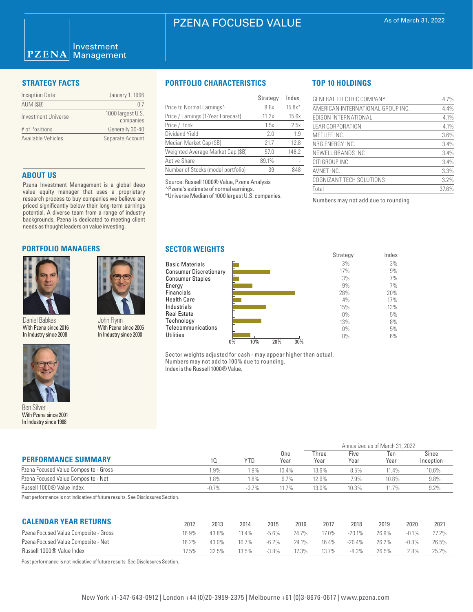# PZENA FOCUSED VALUE

### Investment **PZENA** Management

| <b>Inception Date</b> | January 1, 1996                |
|-----------------------|--------------------------------|
| <b>AUM (\$B)</b>      | 07                             |
| Investment Universe   | 1000 largest U.S.<br>companies |
| # of Positions        | Generally 30-40                |
| Available Vehicles    | Separate Account               |

### **ABOUT US**

Pzena Investment Management is a global deep value equity manager that uses a proprietary research process to buy companies we believe are priced significantly below their long-term earnings potential. A diverse team from a range of industry backgrounds, Pzena is dedicated to meeting client needs as thought leaders on value investing.

# **PORTFOLIO MANAGERS**



Daniel Babkes With Pzena since 2016 In Industry since 2008



Ben Silver With Pzena since 2001 In Industry since 1988

### **STRATEGY FACTS PORTFOLIO CHARACTERISTICS**

|                                    | Strategy | Index    |
|------------------------------------|----------|----------|
| Price to Normal Earnings^          | 8.8x     | $15.8x*$ |
| Price / Earnings (1-Year Forecast) | 11.2x    | 15.6x    |
| Price / Book                       | 1.5x     | 2.5x     |
| Dividend Yield                     | 20       | 1.9      |
| Median Market Cap (\$B)            | 21.7     | 12.8     |
| Weighted Average Market Cap (\$B)  | 57.0     | 148.2    |
| <b>Active Share</b>                | 89.1%    |          |
| Number of Stocks (model portfolio) | 39       | 848      |

Source: Russell 1000® Value, Pzena Analysis ^Pzena's estimate of normal earnings.

Energy

**Utilities** 

\*Universe Median of 1000 largest U.S. companies.

# **TOP 10 HOLDINGS**

| GENERAL ELECTRIC COMPANY          | 4.7%  |
|-----------------------------------|-------|
| AMERICAN INTERNATIONAL GROUP INC. | 4.4%  |
| EDISON INTERNATIONAL              | 4.1%  |
| <b>LEAR CORPORATION</b>           | 4.1%  |
| METLIFE INC.                      | 3.6%  |
| NRG ENERGY INC.                   | 3.4%  |
| NEWELL BRANDS INC                 | 3.4%  |
| CITIGROUP INC.                    | 3.4%  |
| AVNET INC.                        | 3.3%  |
| COGNIZANT TECH SOLUTIONS          | 3.2%  |
| Total                             | 37.6% |

Numbers may not add due to rounding



Sector weights adjusted for cash - may appear higher than actual. Numbers may not add to 100% due to rounding. Index is the Russell 1000® Value.

| <b>PERFORMANCE SUMMARY</b>                                                                                                                                                                                                                          |          |         | One<br>Year | Annualized as of March 31, 2022 |              |             |                    |  |
|-----------------------------------------------------------------------------------------------------------------------------------------------------------------------------------------------------------------------------------------------------|----------|---------|-------------|---------------------------------|--------------|-------------|--------------------|--|
|                                                                                                                                                                                                                                                     | 10.      | YTD     |             | Three<br>Year                   | Five<br>Year | Ten<br>Year | Since<br>Inception |  |
| Pzena Focused Value Composite - Gross                                                                                                                                                                                                               | .9%      | 1.9%    | 10.4%       | 13.6%                           | 8.5%         | 11.4%       | 10.6%              |  |
| Pzena Focused Value Composite - Net                                                                                                                                                                                                                 | .8%      | 1.8%    | 9.7%        | 12.9%                           | 7.9%         | 10.8%       | 9.8%               |  |
| Russell 1000® Value Index                                                                                                                                                                                                                           | $-0.7\%$ | $-0.7%$ | 11.7%       | 13.0%                           | 10.3%        | 11.7%       | 9.2%               |  |
| $\mathcal{L}$ . The state of the state of the state of the state of the state of the state of the state of the state of the state of the state of the state of the state of the state of the state of the state of the state of th<br>$\sim$ $\sim$ |          |         |             |                                 |              |             |                    |  |

Past performance is not indicative of future results. See Disclosures Section.

John Flynn With Pzena since 2005 In Industry since 2000

| <b>CALENDAR YEAR RETURNS</b>          | 2012  | 2013  | 2014  | 2015     | 2016  | 2017  | 2018      | 2019  | 2020     | 2021  |
|---------------------------------------|-------|-------|-------|----------|-------|-------|-----------|-------|----------|-------|
| Pzena Focused Value Composite - Gross | 16.9% | 43.8% | 11.4% | $-5.6%$  | 24.7% | 17.0% | $-20.1\%$ | 26.9% | $-0.1\%$ | 27.2% |
| Pzena Focused Value Composite - Net   | 16.2% | 43.0% | 10.7% | $-6.2\%$ | 24.1% | 16.4% | $-20.4\%$ | 26.2% | -0.8%    | 26.5% |
| Russell 1000® Value Index             | 17.5% | 32.5% | 13.5% | $-3.8\%$ | 17.3% | 13.7% | $-8.3\%$  | 26.5% | $2.8\%$  | 25.2% |
|                                       |       |       |       |          |       |       |           |       |          |       |

Past performance is not indicative of future results. See Disclosures Section.